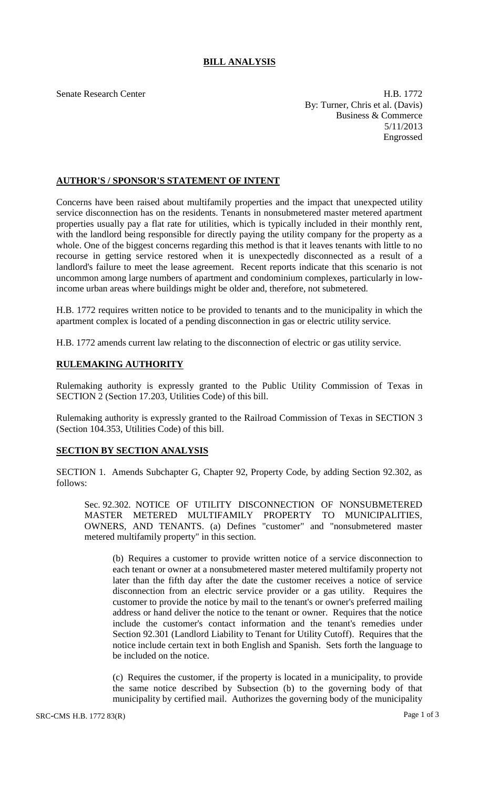# **BILL ANALYSIS**

Senate Research Center **H.B. 1772** By: Turner, Chris et al. (Davis) Business & Commerce 5/11/2013 Engrossed

## **AUTHOR'S / SPONSOR'S STATEMENT OF INTENT**

Concerns have been raised about multifamily properties and the impact that unexpected utility service disconnection has on the residents. Tenants in nonsubmetered master metered apartment properties usually pay a flat rate for utilities, which is typically included in their monthly rent, with the landlord being responsible for directly paying the utility company for the property as a whole. One of the biggest concerns regarding this method is that it leaves tenants with little to no recourse in getting service restored when it is unexpectedly disconnected as a result of a landlord's failure to meet the lease agreement. Recent reports indicate that this scenario is not uncommon among large numbers of apartment and condominium complexes, particularly in lowincome urban areas where buildings might be older and, therefore, not submetered.

H.B. 1772 requires written notice to be provided to tenants and to the municipality in which the apartment complex is located of a pending disconnection in gas or electric utility service.

H.B. 1772 amends current law relating to the disconnection of electric or gas utility service.

## **RULEMAKING AUTHORITY**

Rulemaking authority is expressly granted to the Public Utility Commission of Texas in SECTION 2 (Section 17.203, Utilities Code) of this bill.

Rulemaking authority is expressly granted to the Railroad Commission of Texas in SECTION 3 (Section 104.353, Utilities Code) of this bill.

## **SECTION BY SECTION ANALYSIS**

SECTION 1. Amends Subchapter G, Chapter 92, Property Code, by adding Section 92.302, as follows:

Sec. 92.302. NOTICE OF UTILITY DISCONNECTION OF NONSUBMETERED MASTER METERED MULTIFAMILY PROPERTY TO MUNICIPALITIES, OWNERS, AND TENANTS. (a) Defines "customer" and "nonsubmetered master metered multifamily property" in this section.

(b) Requires a customer to provide written notice of a service disconnection to each tenant or owner at a nonsubmetered master metered multifamily property not later than the fifth day after the date the customer receives a notice of service disconnection from an electric service provider or a gas utility. Requires the customer to provide the notice by mail to the tenant's or owner's preferred mailing address or hand deliver the notice to the tenant or owner. Requires that the notice include the customer's contact information and the tenant's remedies under Section 92.301 (Landlord Liability to Tenant for Utility Cutoff). Requires that the notice include certain text in both English and Spanish. Sets forth the language to be included on the notice.

(c) Requires the customer, if the property is located in a municipality, to provide the same notice described by Subsection (b) to the governing body of that municipality by certified mail. Authorizes the governing body of the municipality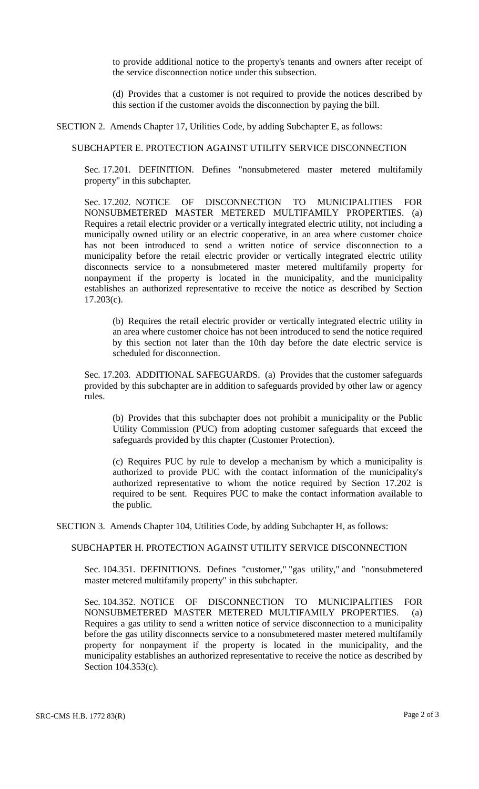to provide additional notice to the property's tenants and owners after receipt of the service disconnection notice under this subsection.

(d) Provides that a customer is not required to provide the notices described by this section if the customer avoids the disconnection by paying the bill.

SECTION 2. Amends Chapter 17, Utilities Code, by adding Subchapter E, as follows:

#### SUBCHAPTER E. PROTECTION AGAINST UTILITY SERVICE DISCONNECTION

Sec. 17.201. DEFINITION. Defines "nonsubmetered master metered multifamily property" in this subchapter.

Sec. 17.202. NOTICE OF DISCONNECTION TO MUNICIPALITIES FOR NONSUBMETERED MASTER METERED MULTIFAMILY PROPERTIES. (a) Requires a retail electric provider or a vertically integrated electric utility, not including a municipally owned utility or an electric cooperative, in an area where customer choice has not been introduced to send a written notice of service disconnection to a municipality before the retail electric provider or vertically integrated electric utility disconnects service to a nonsubmetered master metered multifamily property for nonpayment if the property is located in the municipality, and the municipality establishes an authorized representative to receive the notice as described by Section  $17.203(c)$ .

(b) Requires the retail electric provider or vertically integrated electric utility in an area where customer choice has not been introduced to send the notice required by this section not later than the 10th day before the date electric service is scheduled for disconnection.

Sec. 17.203. ADDITIONAL SAFEGUARDS. (a) Provides that the customer safeguards provided by this subchapter are in addition to safeguards provided by other law or agency rules.

(b) Provides that this subchapter does not prohibit a municipality or the Public Utility Commission (PUC) from adopting customer safeguards that exceed the safeguards provided by this chapter (Customer Protection).

(c) Requires PUC by rule to develop a mechanism by which a municipality is authorized to provide PUC with the contact information of the municipality's authorized representative to whom the notice required by Section 17.202 is required to be sent. Requires PUC to make the contact information available to the public.

SECTION 3. Amends Chapter 104, Utilities Code, by adding Subchapter H, as follows:

#### SUBCHAPTER H. PROTECTION AGAINST UTILITY SERVICE DISCONNECTION

Sec. 104.351. DEFINITIONS. Defines "customer," "gas utility," and "nonsubmetered master metered multifamily property" in this subchapter.

Sec. 104.352. NOTICE OF DISCONNECTION TO MUNICIPALITIES FOR NONSUBMETERED MASTER METERED MULTIFAMILY PROPERTIES. (a) Requires a gas utility to send a written notice of service disconnection to a municipality before the gas utility disconnects service to a nonsubmetered master metered multifamily property for nonpayment if the property is located in the municipality, and the municipality establishes an authorized representative to receive the notice as described by Section 104.353(c).